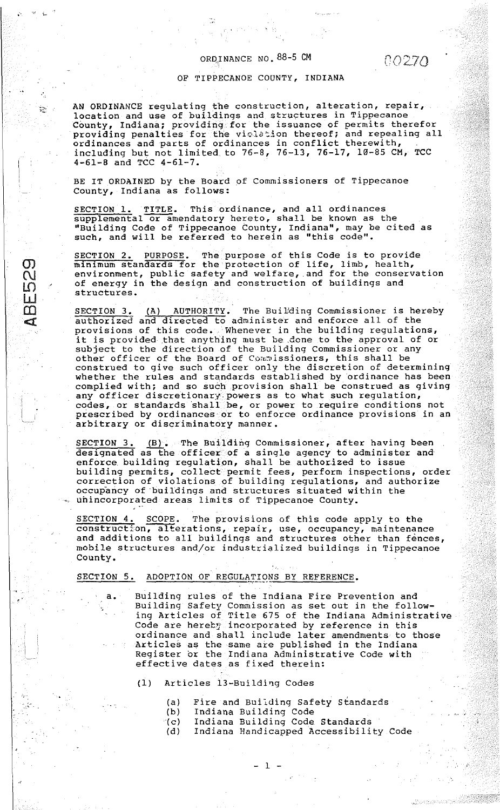#### ORD,! NANCE NO. 88-5 CM

-,; .....

.. ,  $\ddot{r}_{\rm esc}$ 

 $\sigma$  $\overline{C}$  $\overline{\Omega}$ **W**  $\frac{m}{2}$  $\triangleleft$ 

.<br>. . .

## 0*0270*

#### OF TIPPECANOE COUNTY, INDIANA

AN ORDINANCE regulating the construction, alteration, repair, location and use of buildings and structures in Tippecanoe County, Indiana; providing for the issuance of permits therefor providing penalties for the violation thereof; and repealing all ordinances and parts of ordinances in conflict therewith, including but not limited. to 76-8, 76-13, 76-17, 10-85 CM, TCC  $4-61-8$  and TCC  $4-61-7$ .

BE IT ORDAINED by the Board of Commissioners of Tippecanoe County, Indiana as follows:

SECTION 1. TITLE. This ordinance, and all ordinances supplemental or amendatory hereto, shall be known as the "Building Code of Tippecanoe County, Indiana", may be cited as such, and will be referred to herein as "this code".

SECTION 2. PURPOSE. The purpose of this Code is to provide minimum standards for the protection of life, limb, health, environment, public safety and welfare, .and for the conservation of energy in the design and construction of buildings and structures.

SECTION 3. (A) AUTHORITY. The Building Commissioner is hereby authorized and directed to administer and enforce all of the provisions of this code. Whenever in the building regulations, provisions of this code. Whenever in the building regulations, subject to the direction of the Building Commissioner or any other officer of the Board of Commissioners, this shall be construed to give such officer only the discretion of determining whether the rules and standards established by ordinance has been complied with; and so such provision shall be construed as giving any officer discretionary~powers as to what such regulation,  $\overline{\text{codes}}$ , or standards shall  $\overline{\text{be}}$ , or power to require conditions not prescribed by ordinances or to enforce ordinance provisions in an arbitrary or discriminatory manner.

SECTION 3. (B). The Building Commissioner, after having been designated as the officer of a single agency to administer and enforce building regulation, shall be authorized to issue building permits, collect permit fees, perform inspections, order correction of violations of building regulations, and authorize occupancy of buildings and structures situated within the uhincorporated areas limits of Tippecanoe County.

SECTION 4. SCOPE. The provisions of this code apply to the construction, alterations, repair, use, occupancy, maintenance and additions to all buildings and structures other than fences, mobile structures and/or industrialized buildings in Tippecanoe County.

..,..---·~

#### SECTION 5. ADOPTION OF REGULATIONS BY REFERENCE.

- Building rules of the Indiana Fire Prevention and Building Safety Commission as set out in the following Articles of Title 675 of the Indiana Administrative Code are herety incorporated by reference in this ordinance and shall include later amendments to those Articles as the same are published in the Indiana Register or the Indiana Administrative Code with effective dates as fixed therein:
	- (1) Articles 13-Building Codes
		- (a) Fire and Buiiding Safety Standards
		- (b) Indiana Building Code
		- (c) Indiana Building Code Standards

 $-1$ 

(d) Indiana Handicapped Accessibility Code

,-,;-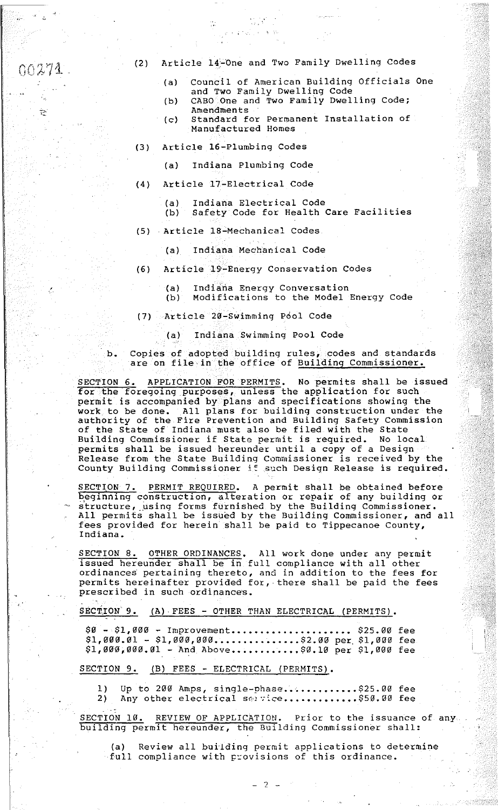$00271$ 

~~·

i

i<br>Indonesia<br>Indonesia

II<br>India<br>I r. i

I

### (2) Article 14-One and Two Family Dwelling Codes

.

Particular A.M

- (a) Council of American Building Officials One and Two Family Dwelling Code
- (b) CABO One and Two Family Dwelling Code; Amendments
- (c) Standard for Permanent Installation of Manufactured Homes
- (3) Article 16-Plumbing Codes
	- (a) Indiana Plumbing Code
- (4) Article 17-Electrical Code
	- (a) Indiana Electrical Code Safety Code for Health Care Facilities
- (5) Article 18-Mechanical Codes
	- (a) Indiana Mechanical Code
- (6) Article 19-Energy Conservation Codes
	- (a) Indiana Energy Conversation
	- (b) Modifications to the Model Energy Code
- (7) Article 20-Swimming P6ol Code

(a) Indiana Swimming Pool Code

b. Copies of adopted building rules, codes and standards are on file in the office of Building Commissioner.

SECTION 6. APPLICATION FOR PERMITS. No permits shall be issued for the foregoing purposes, unless the application for such permit is accompanied by plans and specifications showing the work to be done. All plans for building construction under the authority of the Fire Prevention and Building Safety Commission of the State of Indiana must also be filed with the State Building Commissioner if State permit is required. No local permits shall be issued hereunder until a copy of a Design Release from the State Building Commissioner is received by the nordere from the state servering commissioner is received by the County Building Commissioner if such Design Release is required.

SECTION 7. PERMIT REQUIRED. A permit shall be obtained before beginning construction, alteration or repair of any building or structure, using forms furnished by the Building Commissioner. All permits shall be issued by the Building Commissioner, and all fees provided for herein shall be paid to Tippecanoe County, Indiana.

SECTION 8. OTHER ORDINANCES. All work done under any permit issued hereunder shall be in full compliance with all other ordinances pertaining thereto, and in addition to the fees for permits hereinafter provided for, there shall be paid the fees prescribed in such ordinances.

SECTION 9. (A) FEES - OTHER THAN ELECTRICAL (PERMITS).

\$0 - \$1,000 - Improvement..................... \$25.00 fee  $$1,000.01 - $1,000,000 \ldots \ldots \ldots \ldots \$2.00 per $1,000 free$  $$1,000,000.01$  - And Above...........\$0.10 per \$1,000 fee

SECTION 9. (B) FEES - ELECTRICAL (PERMITS).

1) Up to 200 Amps, single-phase............\$25.00 fee<br>2) Any other electrical service.............\$50.00 fee Any other electrical service .............\$50.00 fee

SECTION 10. REVIEW OF APPLICATION. Prior to the issuance of any building permit hereunder, the Building Commissioner shall:

(a) Review all building permit applications to determine .full compliance with provisions of this ordinance.

 $-2 -$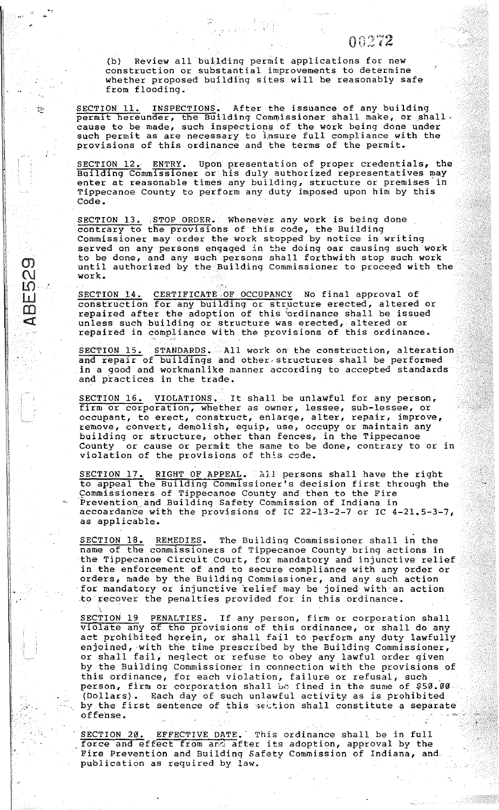# $00272$

(b) Review all building permit applications for new construction or substantial improvements to determine whether proposed building sites will be reasonably safe from flooding.

SECTION 11. INSPECTIONS. After the issuance of any building permit hereunder, the Building Commissioner shall make, or shall. cause to be made, such inspections of the work being done under such permit as are necessary to insure full compliance with the provisions of this ordinance and the terms of the permit.

SECTION 12. ENTRY. Upon presentation of proper credentials, the Building Commissioner or his duly authorized representatives may enter at reasonable times any building, structure or premises in Tippecanoe County to perform any duty imposed upon him by this Code.

SECTION 13. STOP ORDER. Whenever any work is being done contrary to the provisions of this code, the Building Commissioner may order the work stopped by notice in writing served on any persons engaged in the doing oar causing such work to be done, and any such persons shall forthwith stop such work co be done, and any such persons sharp foremated stop such work work.

1l ·~ fj 11 '1! r!  $\mathcal{D}_1$  $\overline{C}$  $\overline{\mathsf{L}\mathsf{O}}$ W  $\Box$  $\mathbb{I}$ 

•

*b* 

 $\frac{1}{2}$ ·-

æ.,

·I,

la serie de la construcción de la construcción de la construcción de la construcción de la construcción de la

i 12

~:,~

SECTION 14. CERTIFICATE OF OCCUPANCY No final approval of construction for any building or structure erected, altered or repaired after the adoption of this ordinance shall be issued unless such building or structure was erected, altered or repaired in compliance with the provisions of this ordinance.

SECTION 15. STANDARDS. All work on the construction, alteration and repair of buildings and other-structures shall be performed in a good and workmanlike manner according to accepted standards and practices in the trade.

SECTION 16. VIOLATIONS. It shall be unlawful for any person, firm or corporation, whether as owner, lessee, sub-lessee, or occupant, to erect, construct, enlarge, alter, repair, improve, remove, convert, demolish, equip, use, occupy or maintain any building or structure, other than fences, in the Tippecanoe County or cause or permit the same to be done, contrary to or in violation of the provisions of this code.

SECTION 17. RIGHT OF APPEAL. All persons shall have the right to appeal the Building Commissioner's decision first through the Commissioners of Tippecanoe County and then to the Fire Prevention and Building Safety Commission of Indiana in accoardance with the provisions of IC 22-13-2-7 or IC 4-21.5-3-7, as applicable.

SECTION 18. REMEDIES. The Building Commissioner shall in the name of the commissioners of Tippecanoe County bring actions in the Tippecanoe Circuit Court, for mandatory and injunctive relief in the enforcement of and to secure compliance with any order or orders, made by the Building Commissioner, and any such action for mandatory or injunctive relief may be joined with· an action to recover the penalties provided for in this ordinance.

SECTION 19 PENALTIES. Tf any person, firm or corporation shall violate any of the provisions of this ordinance, or shall do any act prohibited herein, or shall fail to perform any duty lawfully enjoined, with the time prescribed by the Building Commissioner, enjoined, with the time prescribed by the Building Commissioner by the Building Commissioner in connection with the provisions of this ordinance, for each violation, failure or refusal, such person, firm or corporation shall be fined in the sume of \$50.00. (Dollars). Each day of such unlawful activity as is prohibited by the first sentence of this section shall constitute a separate offense.<br>
offense.

SECTION 20. EFFECTIVE DATE. This ordinance shall be in full force and effect from and after its adoption, approval by the Fire Prevention and Building Safety Commission of Indiana, and publication as required by law.